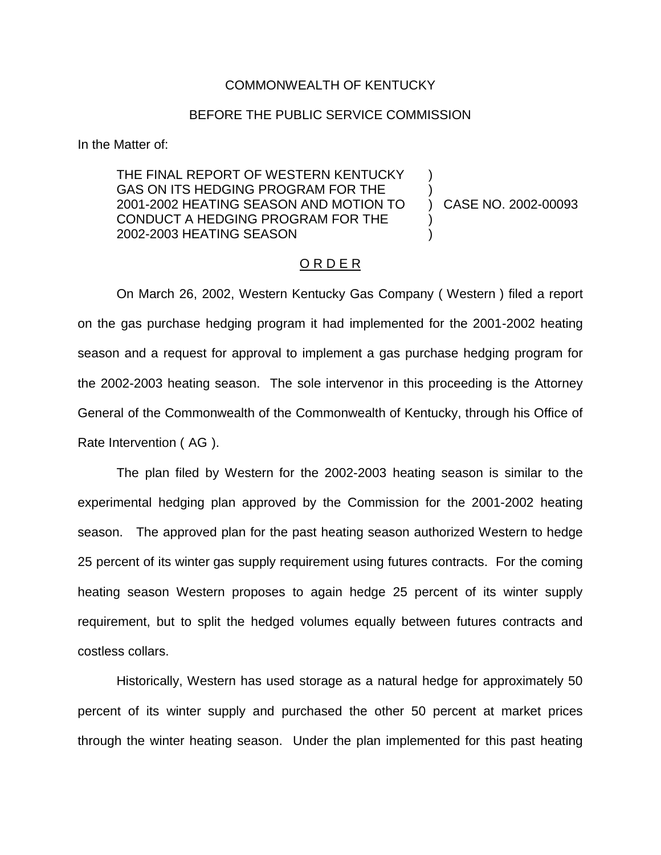## COMMONWEALTH OF KENTUCKY

# BEFORE THE PUBLIC SERVICE COMMISSION

In the Matter of:

THE FINAL REPORT OF WESTERN KENTUCKY GAS ON ITS HEDGING PROGRAM FOR THE 2001-2002 HEATING SEASON AND MOTION TO CONDUCT A HEDGING PROGRAM FOR THE 2002-2003 HEATING SEASON

) CASE NO. 2002-00093

) )

) )

#### O R D E R

On March 26, 2002, Western Kentucky Gas Company ( Western ) filed a report on the gas purchase hedging program it had implemented for the 2001-2002 heating season and a request for approval to implement a gas purchase hedging program for the 2002-2003 heating season. The sole intervenor in this proceeding is the Attorney General of the Commonwealth of the Commonwealth of Kentucky, through his Office of Rate Intervention ( AG ).

The plan filed by Western for the 2002-2003 heating season is similar to the experimental hedging plan approved by the Commission for the 2001-2002 heating season. The approved plan for the past heating season authorized Western to hedge 25 percent of its winter gas supply requirement using futures contracts. For the coming heating season Western proposes to again hedge 25 percent of its winter supply requirement, but to split the hedged volumes equally between futures contracts and costless collars.

Historically, Western has used storage as a natural hedge for approximately 50 percent of its winter supply and purchased the other 50 percent at market prices through the winter heating season. Under the plan implemented for this past heating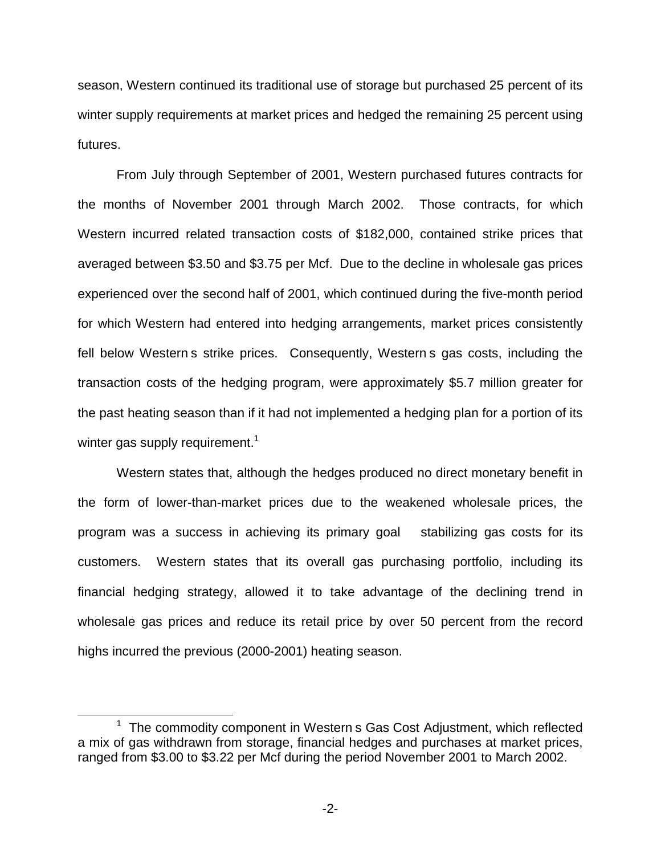season, Western continued its traditional use of storage but purchased 25 percent of its winter supply requirements at market prices and hedged the remaining 25 percent using futures.

From July through September of 2001, Western purchased futures contracts for the months of November 2001 through March 2002. Those contracts, for which Western incurred related transaction costs of \$182,000, contained strike prices that averaged between \$3.50 and \$3.75 per Mcf. Due to the decline in wholesale gas prices experienced over the second half of 2001, which continued during the five-month period for which Western had entered into hedging arrangements, market prices consistently fell below Western s strike prices. Consequently, Western s gas costs, including the transaction costs of the hedging program, were approximately \$5.7 million greater for the past heating season than if it had not implemented a hedging plan for a portion of its winter gas supply requirement.<sup>1</sup>

Western states that, although the hedges produced no direct monetary benefit in the form of lower-than-market prices due to the weakened wholesale prices, the program was a success in achieving its primary goal stabilizing gas costs for its customers. Western states that its overall gas purchasing portfolio, including its financial hedging strategy, allowed it to take advantage of the declining trend in wholesale gas prices and reduce its retail price by over 50 percent from the record highs incurred the previous (2000-2001) heating season.

 $1$  The commodity component in Western s Gas Cost Adjustment, which reflected a mix of gas withdrawn from storage, financial hedges and purchases at market prices, ranged from \$3.00 to \$3.22 per Mcf during the period November 2001 to March 2002.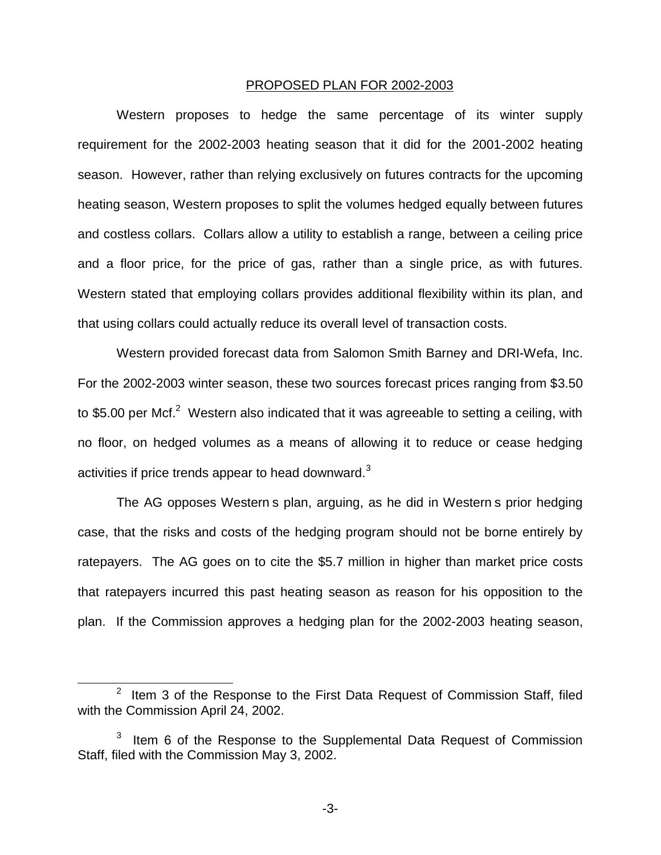#### PROPOSED PLAN FOR 2002-2003

Western proposes to hedge the same percentage of its winter supply requirement for the 2002-2003 heating season that it did for the 2001-2002 heating season. However, rather than relying exclusively on futures contracts for the upcoming heating season, Western proposes to split the volumes hedged equally between futures and costless collars. Collars allow a utility to establish a range, between a ceiling price and a floor price, for the price of gas, rather than a single price, as with futures. Western stated that employing collars provides additional flexibility within its plan, and that using collars could actually reduce its overall level of transaction costs.

Western provided forecast data from Salomon Smith Barney and DRI-Wefa, Inc. For the 2002-2003 winter season, these two sources forecast prices ranging from \$3.50 to \$5.00 per Mcf. $^2$  Western also indicated that it was agreeable to setting a ceiling, with no floor, on hedged volumes as a means of allowing it to reduce or cease hedging activities if price trends appear to head downward.<sup>3</sup>

The AG opposes Western s plan, arguing, as he did in Western s prior hedging case, that the risks and costs of the hedging program should not be borne entirely by ratepayers. The AG goes on to cite the \$5.7 million in higher than market price costs that ratepayers incurred this past heating season as reason for his opposition to the plan. If the Commission approves a hedging plan for the 2002-2003 heating season,

-3-

 $2$  Item 3 of the Response to the First Data Request of Commission Staff, filed with the Commission April 24, 2002.

 $3$  Item 6 of the Response to the Supplemental Data Request of Commission Staff, filed with the Commission May 3, 2002.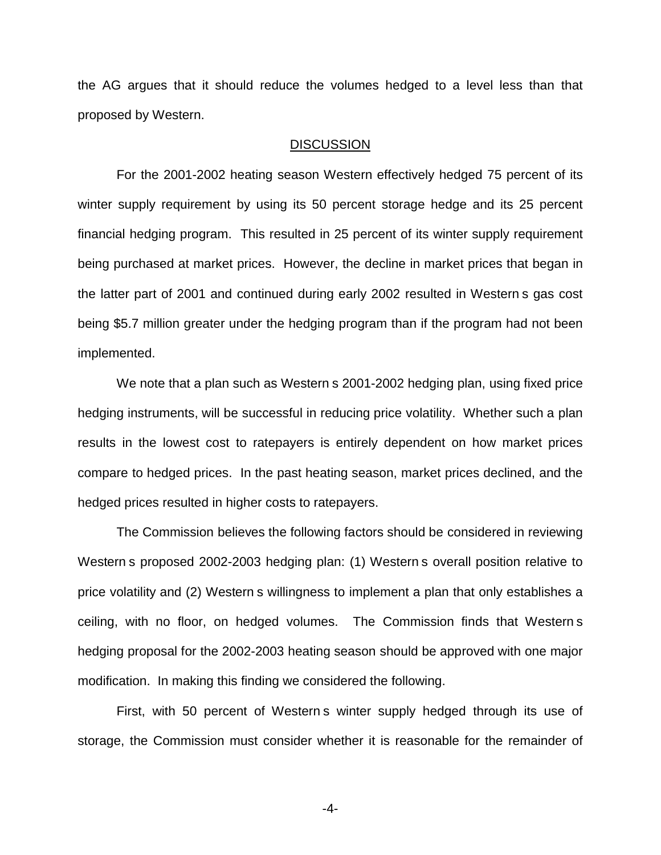the AG argues that it should reduce the volumes hedged to a level less than that proposed by Western.

## **DISCUSSION**

For the 2001-2002 heating season Western effectively hedged 75 percent of its winter supply requirement by using its 50 percent storage hedge and its 25 percent financial hedging program. This resulted in 25 percent of its winter supply requirement being purchased at market prices. However, the decline in market prices that began in the latter part of 2001 and continued during early 2002 resulted in Western s gas cost being \$5.7 million greater under the hedging program than if the program had not been implemented.

We note that a plan such as Western s 2001-2002 hedging plan, using fixed price hedging instruments, will be successful in reducing price volatility. Whether such a plan results in the lowest cost to ratepayers is entirely dependent on how market prices compare to hedged prices. In the past heating season, market prices declined, and the hedged prices resulted in higher costs to ratepayers.

The Commission believes the following factors should be considered in reviewing Western s proposed 2002-2003 hedging plan: (1) Western s overall position relative to price volatility and (2) Western s willingness to implement a plan that only establishes a ceiling, with no floor, on hedged volumes. The Commission finds that Western s hedging proposal for the 2002-2003 heating season should be approved with one major modification. In making this finding we considered the following.

First, with 50 percent of Western s winter supply hedged through its use of storage, the Commission must consider whether it is reasonable for the remainder of

-4-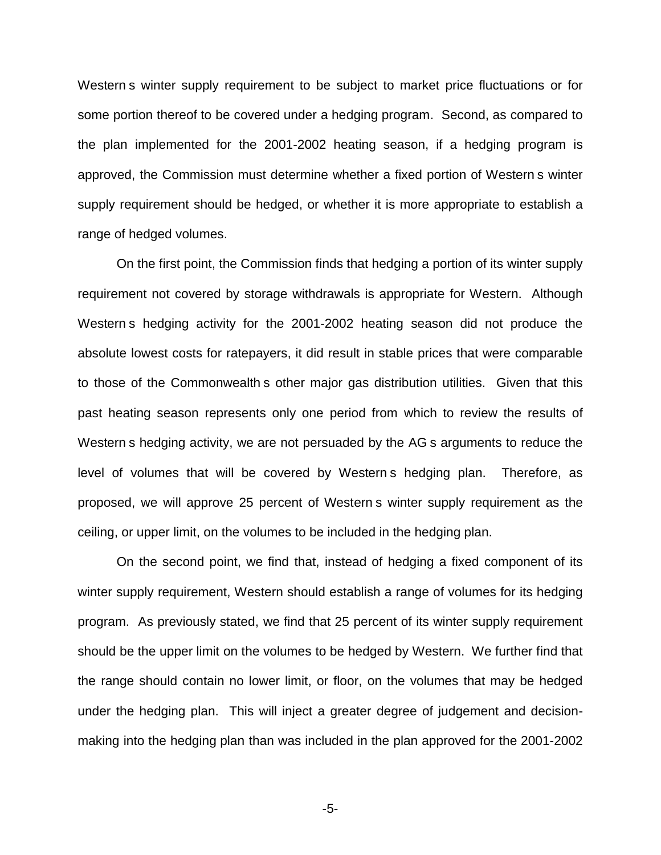Western s winter supply requirement to be subject to market price fluctuations or for some portion thereof to be covered under a hedging program. Second, as compared to the plan implemented for the 2001-2002 heating season, if a hedging program is approved, the Commission must determine whether a fixed portion of Western s winter supply requirement should be hedged, or whether it is more appropriate to establish a range of hedged volumes.

On the first point, the Commission finds that hedging a portion of its winter supply requirement not covered by storage withdrawals is appropriate for Western. Although Western s hedging activity for the 2001-2002 heating season did not produce the absolute lowest costs for ratepayers, it did result in stable prices that were comparable to those of the Commonwealth s other major gas distribution utilities. Given that this past heating season represents only one period from which to review the results of Western s hedging activity, we are not persuaded by the AG s arguments to reduce the level of volumes that will be covered by Western s hedging plan. Therefore, as proposed, we will approve 25 percent of Western s winter supply requirement as the ceiling, or upper limit, on the volumes to be included in the hedging plan.

On the second point, we find that, instead of hedging a fixed component of its winter supply requirement, Western should establish a range of volumes for its hedging program. As previously stated, we find that 25 percent of its winter supply requirement should be the upper limit on the volumes to be hedged by Western. We further find that the range should contain no lower limit, or floor, on the volumes that may be hedged under the hedging plan. This will inject a greater degree of judgement and decisionmaking into the hedging plan than was included in the plan approved for the 2001-2002

-5-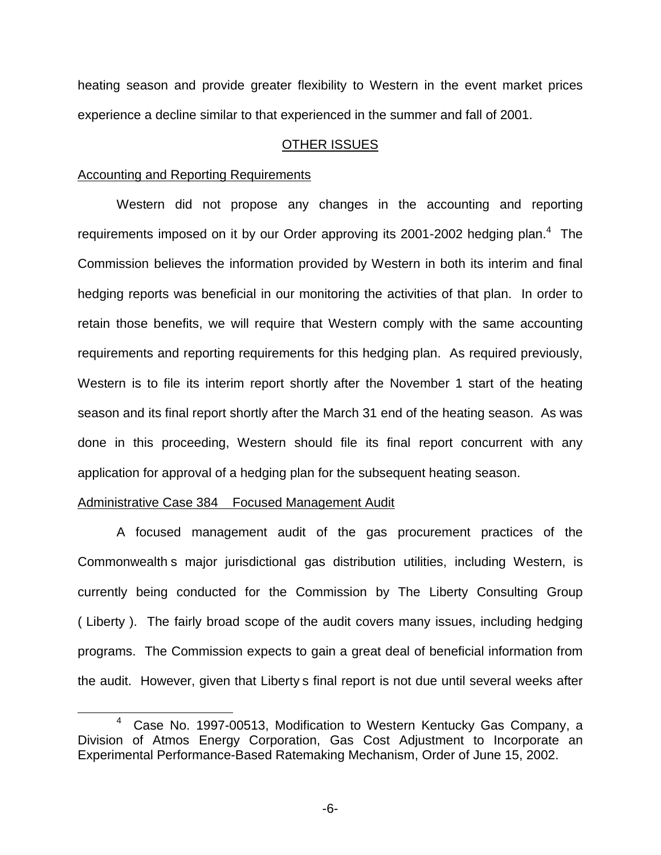heating season and provide greater flexibility to Western in the event market prices experience a decline similar to that experienced in the summer and fall of 2001.

# OTHER ISSUES

## Accounting and Reporting Requirements

Western did not propose any changes in the accounting and reporting requirements imposed on it by our Order approving its 2001-2002 hedging plan.<sup>4</sup> The Commission believes the information provided by Western in both its interim and final hedging reports was beneficial in our monitoring the activities of that plan. In order to retain those benefits, we will require that Western comply with the same accounting requirements and reporting requirements for this hedging plan. As required previously, Western is to file its interim report shortly after the November 1 start of the heating season and its final report shortly after the March 31 end of the heating season. As was done in this proceeding, Western should file its final report concurrent with any application for approval of a hedging plan for the subsequent heating season.

## Administrative Case 384 Focused Management Audit

A focused management audit of the gas procurement practices of the Commonwealth s major jurisdictional gas distribution utilities, including Western, is currently being conducted for the Commission by The Liberty Consulting Group ( Liberty ). The fairly broad scope of the audit covers many issues, including hedging programs. The Commission expects to gain a great deal of beneficial information from the audit. However, given that Liberty s final report is not due until several weeks after

-6-

<sup>4</sup> Case No. 1997-00513, Modification to Western Kentucky Gas Company, a Division of Atmos Energy Corporation, Gas Cost Adjustment to Incorporate an Experimental Performance-Based Ratemaking Mechanism, Order of June 15, 2002.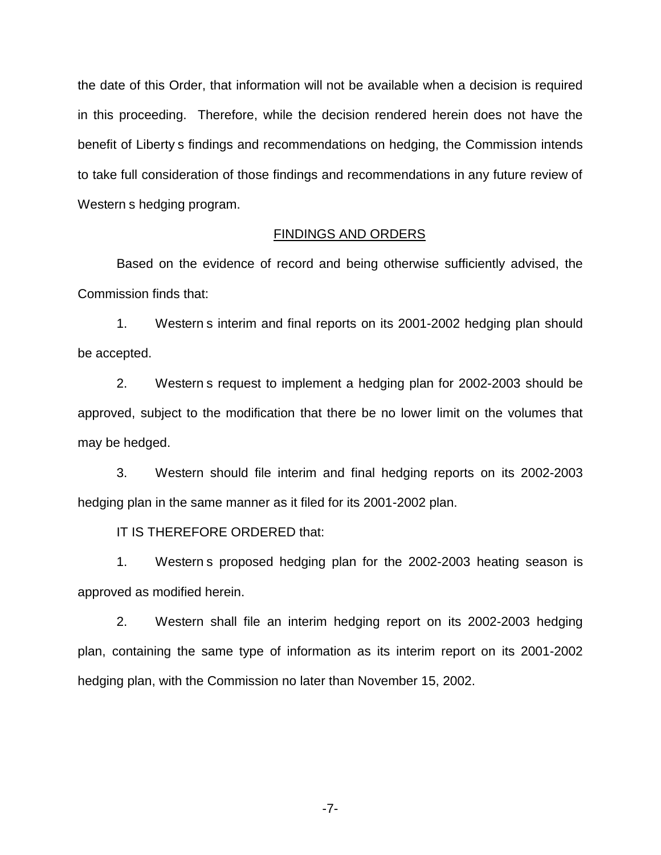the date of this Order, that information will not be available when a decision is required in this proceeding. Therefore, while the decision rendered herein does not have the benefit of Liberty s findings and recommendations on hedging, the Commission intends to take full consideration of those findings and recommendations in any future review of Western s hedging program.

## FINDINGS AND ORDERS

Based on the evidence of record and being otherwise sufficiently advised, the Commission finds that:

1. Western s interim and final reports on its 2001-2002 hedging plan should be accepted.

2. Western s request to implement a hedging plan for 2002-2003 should be approved, subject to the modification that there be no lower limit on the volumes that may be hedged.

3. Western should file interim and final hedging reports on its 2002-2003 hedging plan in the same manner as it filed for its 2001-2002 plan.

IT IS THEREFORE ORDERED that:

1. Western s proposed hedging plan for the 2002-2003 heating season is approved as modified herein.

2. Western shall file an interim hedging report on its 2002-2003 hedging plan, containing the same type of information as its interim report on its 2001-2002 hedging plan, with the Commission no later than November 15, 2002.

-7-